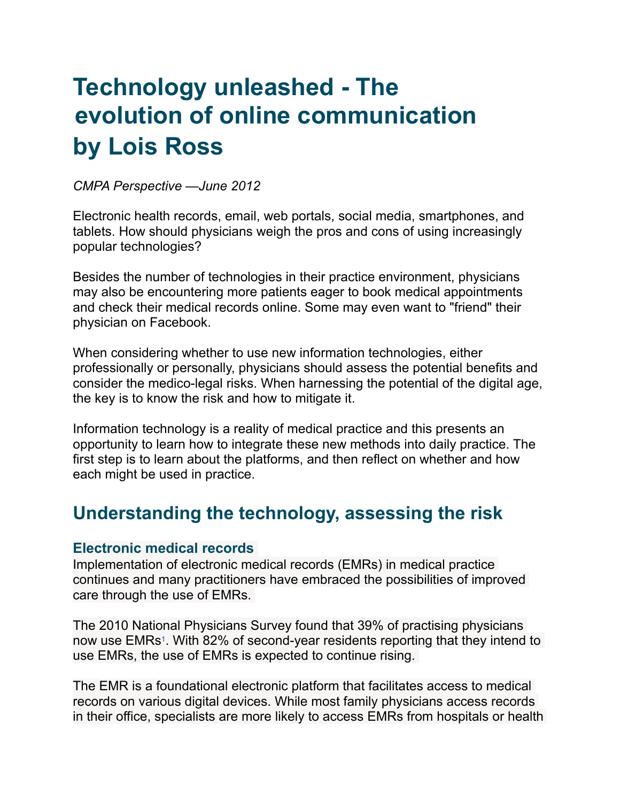# **Technology unleashed - The evolution of online communication by Lois Ross**

*CMPA Perspective —June 2012*

Electronic health records, email, web portals, social media, smartphones, and tablets. How should physicians weigh the pros and cons of using increasingly popular technologies?

Besides the number of technologies in their practice environment, physicians may also be encountering more patients eager to book medical appointments and check their medical records online. Some may even want to "friend" their physician on Facebook.

When considering whether to use new information technologies, either professionally or personally, physicians should assess the potential benefits and consider the medico-legal risks. When harnessing the potential of the digital age, the key is to know the risk and how to mitigate it.

Information technology is a reality of medical practice and this presents an opportunity to learn how to integrate these new methods into daily practice. The first step is to learn about the platforms, and then reflect on whether and how each might be used in practice.

## **Understanding the technology, assessing the risk**

### **Electronic medical records**

Implementation of electronic medical records (EMRs) in medical practice continues and many practitioners have embraced the possibilities of improved care through the use of EMRs.

The 2010 National Physicians Survey found that 39% of practising physicians now use EMRs<sup>1</sup>. With 82% of second-year residents reporting that they intend to use EMRs, the use of EMRs is expected to continue rising.

The EMR is a foundational electronic platform that facilitates access to medical records on various digital devices. While most family physicians access records in their office, specialists are more likely to access EMRs from hospitals or health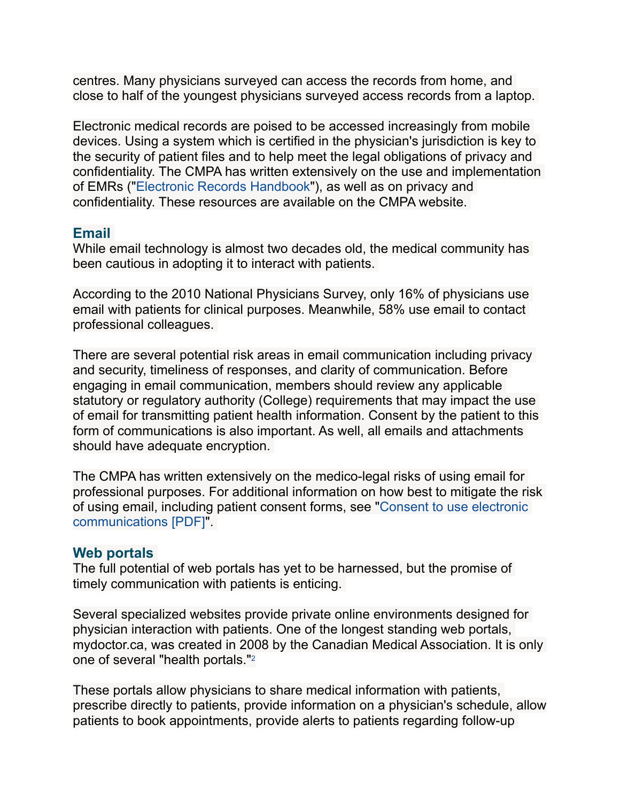centres. Many physicians surveyed can access the records from home, and close to half of the youngest physicians surveyed access records from a laptop.

Electronic medical records are poised to be accessed increasingly from mobile devices. Using a system which is certified in the physician's jurisdiction is key to the security of patient files and to help meet the legal obligations of privacy and confidentiality. The CMPA has written extensively on the use and implementation of EMRs (["Electronic Records Handbook](https://www.cmpa-acpm.ca/-/electronic-records-handbook)"), as well as on privacy and confidentiality. These resources are available on the CMPA website.

#### **Email**

While email technology is almost two decades old, the medical community has been cautious in adopting it to interact with patients.

According to the 2010 National Physicians Survey, only 16% of physicians use email with patients for clinical purposes. Meanwhile, 58% use email to contact professional colleagues.

There are several potential risk areas in email communication including privacy and security, timeliness of responses, and clarity of communication. Before engaging in email communication, members should review any applicable statutory or regulatory authority (College) requirements that may impact the use of email for transmitting patient health information. Consent by the patient to this form of communications is also important. As well, all emails and attachments should have adequate encryption.

The CMPA has written extensively on the medico-legal risks of using email for professional purposes. For additional information on how best to mitigate the risk [of using email, including patient consent forms, see "Consent to use electronic](https://www.cmpa-acpm.ca/documents/10179/301287261/com_15_consent_to_use_electronic_communication_form-e.pdf)  communications [PDF]".

#### **Web portals**

The full potential of web portals has yet to be harnessed, but the promise of timely communication with patients is enticing.

Several specialized websites provide private online environments designed for physician interaction with patients. One of the longest standing web portals, mydoctor.ca, was created in 2008 by the Canadian Medical Association. It is only one of several "health portals."2

These portals allow physicians to share medical information with patients, prescribe directly to patients, provide information on a physician's schedule, allow patients to book appointments, provide alerts to patients regarding follow-up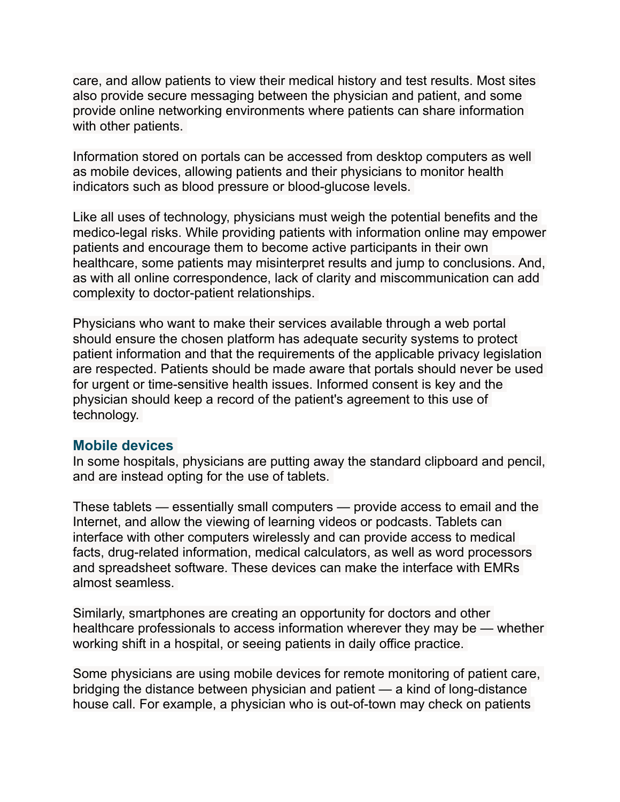care, and allow patients to view their medical history and test results. Most sites also provide secure messaging between the physician and patient, and some provide online networking environments where patients can share information with other patients.

Information stored on portals can be accessed from desktop computers as well as mobile devices, allowing patients and their physicians to monitor health indicators such as blood pressure or blood-glucose levels.

Like all uses of technology, physicians must weigh the potential benefits and the medico-legal risks. While providing patients with information online may empower patients and encourage them to become active participants in their own healthcare, some patients may misinterpret results and jump to conclusions. And, as with all online correspondence, lack of clarity and miscommunication can add complexity to doctor-patient relationships.

Physicians who want to make their services available through a web portal should ensure the chosen platform has adequate security systems to protect patient information and that the requirements of the applicable privacy legislation are respected. Patients should be made aware that portals should never be used for urgent or time-sensitive health issues. Informed consent is key and the physician should keep a record of the patient's agreement to this use of technology.

#### **Mobile devices**

In some hospitals, physicians are putting away the standard clipboard and pencil, and are instead opting for the use of tablets.

These tablets — essentially small computers — provide access to email and the Internet, and allow the viewing of learning videos or podcasts. Tablets can interface with other computers wirelessly and can provide access to medical facts, drug-related information, medical calculators, as well as word processors and spreadsheet software. These devices can make the interface with EMRs almost seamless.

Similarly, smartphones are creating an opportunity for doctors and other healthcare professionals to access information wherever they may be — whether working shift in a hospital, or seeing patients in daily office practice.

Some physicians are using mobile devices for remote monitoring of patient care, bridging the distance between physician and patient — a kind of long-distance house call. For example, a physician who is out-of-town may check on patients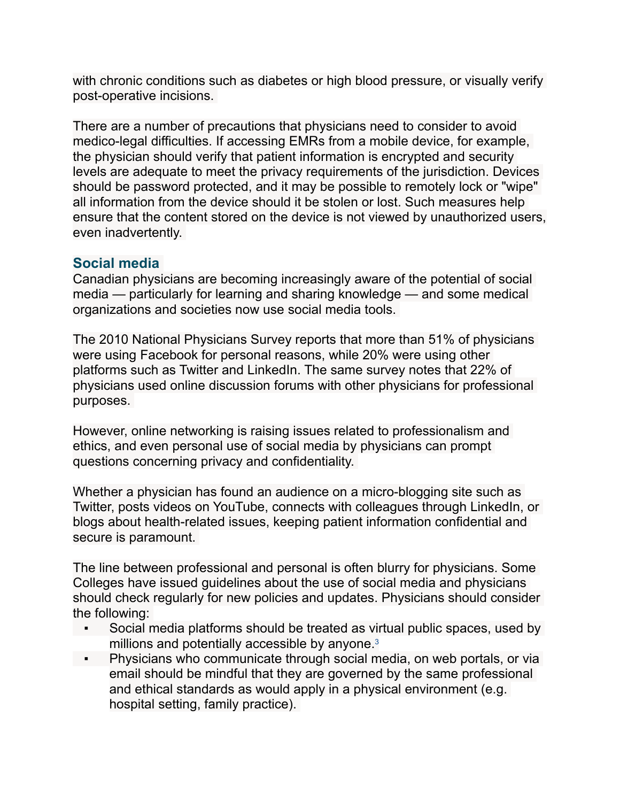with chronic conditions such as diabetes or high blood pressure, or visually verify post-operative incisions.

There are a number of precautions that physicians need to consider to avoid medico-legal difficulties. If accessing EMRs from a mobile device, for example, the physician should verify that patient information is encrypted and security levels are adequate to meet the privacy requirements of the jurisdiction. Devices should be password protected, and it may be possible to remotely lock or "wipe" all information from the device should it be stolen or lost. Such measures help ensure that the content stored on the device is not viewed by unauthorized users, even inadvertently.

#### **Social media**

Canadian physicians are becoming increasingly aware of the potential of social media — particularly for learning and sharing knowledge — and some medical organizations and societies now use social media tools.

The 2010 National Physicians Survey reports that more than 51% of physicians were using Facebook for personal reasons, while 20% were using other platforms such as Twitter and LinkedIn. The same survey notes that 22% of physicians used online discussion forums with other physicians for professional purposes.

However, online networking is raising issues related to professionalism and ethics, and even personal use of social media by physicians can prompt questions concerning privacy and confidentiality.

Whether a physician has found an audience on a micro-blogging site such as Twitter, posts videos on YouTube, connects with colleagues through LinkedIn, or blogs about health-related issues, keeping patient information confidential and secure is paramount.

The line between professional and personal is often blurry for physicians. Some Colleges have issued guidelines about the use of social media and physicians should check regularly for new policies and updates. Physicians should consider the following:

- Social media platforms should be treated as virtual public spaces, used by millions and potentially accessible by anyone.<sup>3</sup>
- **EXECT** Physicians who communicate through social media, on web portals, or via email should be mindful that they are governed by the same professional and ethical standards as would apply in a physical environment (e.g. hospital setting, family practice).